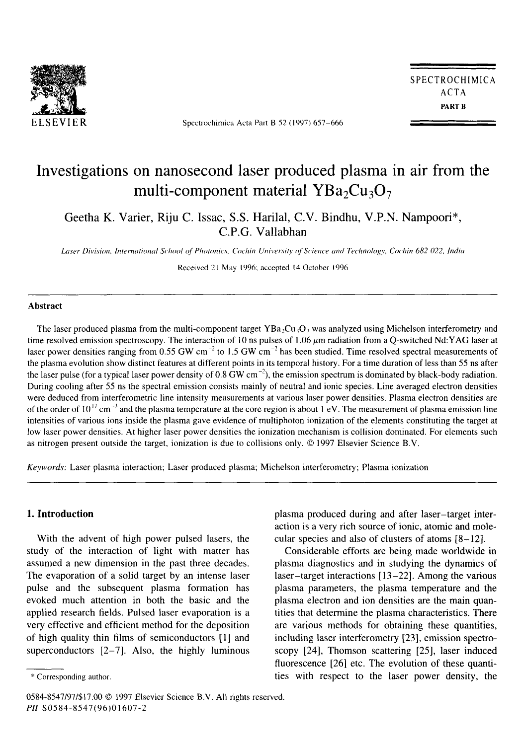

Spectrochimica Acta Part B 52 (1997) 657-666

SPECTROCHIMICA ACTA **PART** B

# **Investigations on nanosecond laser produced plasma in air from the**  multi-component material YBa<sub>2</sub>Cu<sub>3</sub>O<sub>7</sub>

**Geetha K. Varier, Riju C. Issac, S.S. Harilal, C.V. Bindhu, V.P.N. Nampoori\*, C.P.G.** Vallabhan

Laser Division, International School of Photonics, Cochin University of Science and Technology, Cochin 682 022, India

Received 21 May 1996: accepted 14 October 1996

#### **Abstract**

The laser produced plasma from the multi-component target YBa<sub>2</sub>Cu<sub>3</sub>O<sub>7</sub> was analyzed using Michelson interferometry and time resolved emission spectroscopy. The interaction of 10 ns pulses of 1.06  $\mu$ m radiation from a Q-switched Nd:YAG laser at laser power densities ranging from 0.55 GW cm<sup>-2</sup> to 1.5 GW cm<sup>-2</sup> has been studied. Time resolved spectral measurements of the plasma evolution show distinct features at different points in its temporal history. For a time duration of less than 55 ns after the laser pulse (for a typical laser power density of  $0.8$  GW cm<sup>-2</sup>), the emission spectrum is dominated by black-body radiation. During cooling after 55 ns the spectral emission consists mainly of neutral and ionic species. Line averaged electron densities were deduced from interferometric line intensity measurements at various laser power densities. Plasma electron densities are of the order of  $10^{17}$  cm<sup>-3</sup> and the plasma temperature at the core region is about 1 eV. The measurement of plasma emission line intensities of various ions inside the plasma gave evidence of multiphoton ionization of the elements constituting the target at low laser power densities. At higher laser power densities the ionization mechanism is collision dominated. For elements such as nitrogen present outside the target, ionization is due to collisions only. © 1997 Elsevier Science B.V.

*Keywords:* Laser plasma interaction; Laser produced plasma; Michelson interferometry; Plasma ionization

#### **1. Introduction**

With the advent of high power pulsed lasers, the study of the interaction of light with matter has assumed a new dimension in the past three decades. The evaporation of a solid target by an intense laser pulse and the subsequent plasma formation has evoked much attention in both the basic and the applied research fields. Pulsed laser evaporation is a very effective and efficient method for the deposition of high quality thin films of semiconductors [1] and superconductors  $[2-7]$ . Also, the highly luminous

0584-8547/97/\$17.00 © 1997 Elsevier Science B.V. All rights reserved. *PII* S0584-8547(96)01607-2

plasma produced during and after laser-target interaction is a very rich source of ionic, atomic and molecular species and also of clusters of atoms [8-12].

Considerable efforts are being made worldwide in plasma diagnostics and in studying the dynamics of laser-target interactions [13-22]. Among the various plasma parameters, the plasma temperature and the plasma electron and ion densities are the main quantities that determine the plasma characteristics. There are various methods for obtaining these quantities, including laser interferometry [23], emission spectroscopy [24], Thomson scattering [25], laser induced fluorescence [26] etc. The evolution of these quantities with respect to the laser power density, the

<sup>\*</sup> Corresponding author.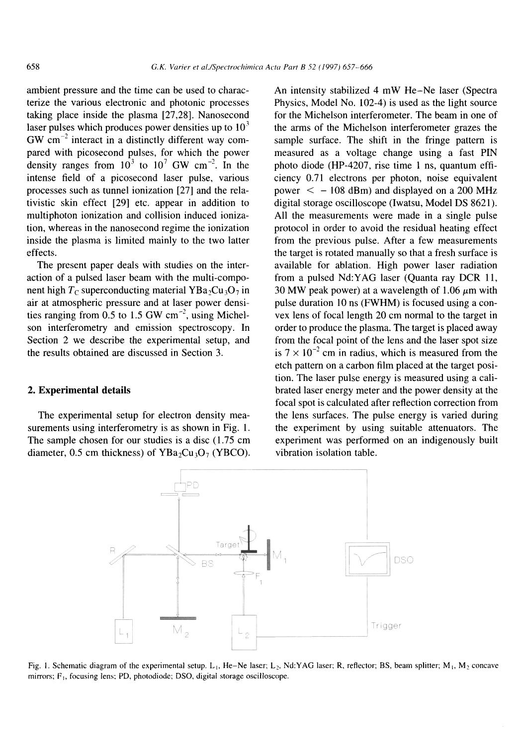ambient pressure and the time can be used to characterize the various electronic and photonic processes taking place inside the plasma [27,28]. Nanosecond laser pulses which produces power densities up to  $10<sup>3</sup>$  $GW$  cm<sup>-2</sup> interact in a distinctly different way compared with picosecond pulses, for which the power density ranges from  $10^3$  to  $10^7$  GW cm<sup>-2</sup>. In the intense field of a picosecond laser pulse, various processes such as tunnel ionization [27] and the relativistic skin effect [29] etc. appear in addition to multiphoton ionization and collision induced ionization, whereas in the nanosecond regime the ionization inside the plasma is limited mainly to the two latter effects.

The present paper deals with studies on the interaction of a pulsed laser beam with the multi-component high  $T_c$  superconducting material YBa<sub>2</sub>Cu<sub>3</sub>O<sub>7</sub> in air at atmospheric pressure and at laser power densities ranging from 0.5 to 1.5 GW  $cm^{-2}$ , using Michelson interferometry and emission spectroscopy. In Section 2 we describe the experimental setup, and the results obtained are discussed in Section 3.

#### **2. Experimental details**

The experimental setup for electron density measurements using interferometry is as shown in Fig. 1. The sample chosen for our studies is a disc (1.75 cm diameter, 0.5 cm thickness) of  $YBa_2Cu_3O_7$  (YBCO). An intensity stabilized 4 mW He-Ne laser (Spectra Physics, Model No. 102-4) is used as the light source for the Michelson interferometer. The beam in one of the arms of the Michelson interferometer grazes the sample surface. The shift in the fringe pattern is measured as a voltage change using a fast PIN photo diode (HP-4207, rise time 1 ns, quantum efficiency 0.71 electrons per photon, noise equivalent power  $\le -108$  dBm) and displayed on a 200 MHz digital storage oscilloscope (Iwatsu, Model DS 8621). All the measurements were made in a single pulse protocol in order to avoid the residual heating effect from the previous pulse. After a few measurements the target is rotated manually so that a fresh surface is available for ablation. High power laser radiation from a pulsed Nd:YAG laser (Quanta ray DCR 11, 30 MW peak power) at a wavelength of 1.06  $\mu$ m with pulse duration 10 ns (FWHM) is focused using a convex lens of focal length 20 cm normal to the target in order to produce the plasma. The target is placed away from the focal point of the lens and the laser spot size is  $7 \times 10^{-2}$  cm in radius, which is measured from the etch pattern on a carbon film placed at the target position. The laser pulse energy is measured using a calibrated laser energy meter and the power density at the focal spot is calculated after reflection correction from the lens surfaces. The pulse energy is varied during the experiment by using suitable attenuators. The experiment was performed on an indigenously built vibration isolation table.



Fig. 1. Schematic diagram of the experimental setup. L<sub>1</sub>, He-Ne laser; L<sub>2</sub>, Nd:YAG laser; R, reflector; BS, beam splitter; M<sub>1</sub>, M<sub>2</sub> concave mirrors;  $F_{1}$ , focusing lens; PD, photodiode; DSO, digital storage oscilloscope.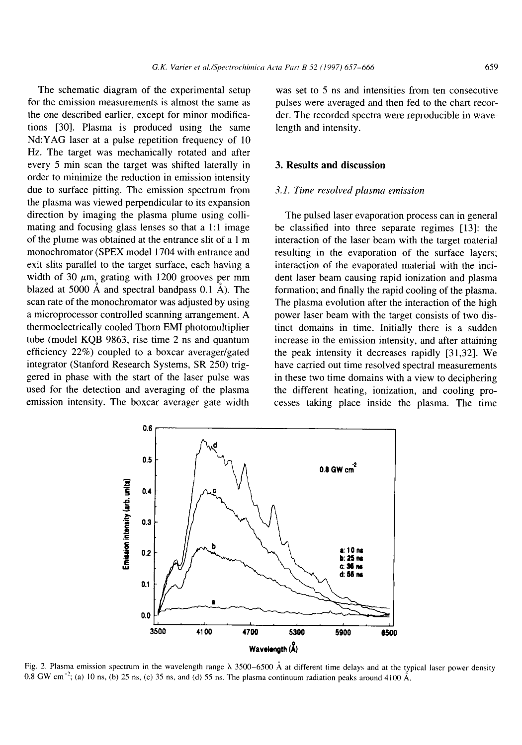The schematic diagram of the experimental setup for the emission measurements is almost the same as the one described earlier, except for minor modifications [30]. Plasma is produced using the same Nd:YAG laser at a pulse repetition frequency of 10 Hz. The target was mechanically rotated and after every 5 min scan the target was shifted laterally in order to minimize the reduction in emission intensity due to surface pitting. The emission spectrum from the plasma was viewed perpendicular to its expansion direction by imaging the plasma plume using collimating and focusing glass lenses so that a 1:1 image of the plume was obtained at the entrance slit of a 1 m monochromator (SPEX model 1704 with entrance and exit slits parallel to the target surface, each having a width of 30  $\mu$ m, grating with 1200 grooves per mm blazed at 5000  $\AA$  and spectral bandpass 0.1  $\AA$ ). The scan rate of the monochromator was adjusted by using a microprocessor controlled scanning arrangement. A thermoelectrically cooled Thorn EMI photomultiplier tube (model KQB 9863, rise time 2 ns and quantum efficiency 22%) coupled to a boxcar averager/gated integrator (Stanford Research Systems, SR 250) triggered in phase with the start of the laser pulse was used for the detection and averaging of the plasma emission intensity. The boxcar averager gate width

was set to 5 ns and intensities from ten consecutive pulses were averaged and then fed to the chart recorder. The recorded spectra were reproducible in wavelength and intensity.

#### **3. Results and discussion**

#### *3.1. Time resolved plasma emission*

The pulsed laser evaporation process can in general be classified into three separate regimes [13]: the interaction of the laser beam with the target material resulting in the evaporation of the surface layers; interaction of the evaporated material with the incident laser beam causing rapid ionization and plasma formation; and finally the rapid cooling of the plasma. The plasma evolution after the interaction of the high power laser beam with the target consists of two distinct domains in time. Initially there is a sudden increase in the emission intensity, and after attaining the peak intensity **it** decreases rapidly [31,32]• We have carried out time resolved spectral measurements in these two time domains with a view to deciphering the different heating, ionization, and cooling processes taking place inside the plasma. The time



Fig. 2. Plasma emission spectrum in the wavelength range  $\lambda$  3500-6500 Å at different time delays and at the typical laser power density  $0.8$  GW cm<sup>-2</sup>; (a) 10 ns, (b) 25 ns, (c) 35 ns, and (d) 55 ns. The plasma continuum radiation peaks around 4100 Å.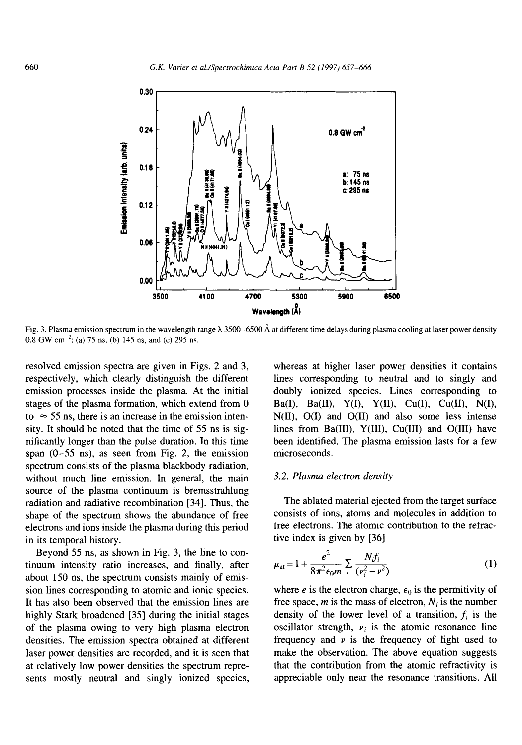

Fig. 3. Plasma emission spectrum in the wavelength range  $\lambda$  3500–6500 Å at different time delays during plasma cooling at laser power density  $0.8$  GW cm<sup>-2</sup>; (a) 75 ns, (b) 145 ns, and (c) 295 ns.

resolved emission spectra are given in Figs. 2 and 3, respectively, which clearly distinguish the different emission processes inside the plasma. At the initial stages of the plasma formation, which extend from 0 to  $\approx$  55 ns, there is an increase in the emission intensity. It should be noted that the time of 55 ns is significantly longer than the pulse duration. In this time span (0-55 ns), as seen from Fig. 2, the emission spectrum consists of the plasma blackbody radiation, without much line emission. In general, the main source of the plasma continuum is bremsstrahlung radiation and radiative recombination [34]. Thus, the shape of the spectrum shows the abundance of free electrons and ions inside the plasma during this period in its temporal history.

Beyond 55 ns, as shown in Fig. 3, the line to continuum intensity ratio increases, and finally, after about 150 ns, the spectrum consists mainly of emission lines corresponding to atomic and ionic species. It has also been observed that the emission lines are highly Stark broadened [35] during the initial stages of the plasma owing to very high plasma electron densities. The emission spectra obtained at different laser power densities are recorded, and it is seen that at relatively low power densities the spectrum represents mostly neutral and singly ionized species,

whereas at higher laser power densities it contains lines corresponding to neutral and to singly and doubly ionized species. Lines corresponding to **Ba(I), Ba(II), Y(I), Y(II), Cu(I), Cu(II), N(I),**  N(II), O(I) and O(II) and also some less intense lines from Ba(III), Y(III), Cu(III) and O(III) have been identified. The plasma emission lasts for a few microseconds.

#### *3.2. Plasma electron density*

The ablated material ejected from the target surface consists of ions, atoms and molecules in addition to free electrons. The atomic contribution to the refractive index is given by [36]

$$
\mu_{\rm at} = 1 + \frac{e^2}{8\pi^2 \epsilon_0 m} \sum_{i} \frac{N_i f_i}{(\nu_i^2 - \nu^2)} \tag{1}
$$

where e is the electron charge,  $\epsilon_0$  is the permitivity of free space, m is the mass of electron,  $N_i$  is the number density of the lower level of a transition,  $f_i$  is the oscillator strength,  $v_i$  is the atomic resonance line frequency and  $\nu$  is the frequency of light used to make the observation. The above equation suggests that the contribution from the atomic refractivity is appreciable only near the resonance transitions. All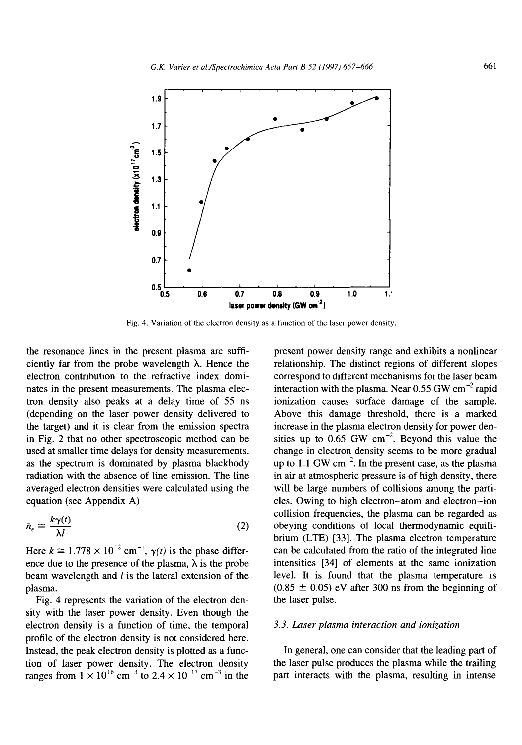

Fig. 4. Variation of the electron density as a function of the laser power density.

the resonance lines in the present plasma are sufficiently far from the probe wavelength  $\lambda$ . Hence the electron contribution to the refractive index dominates in the present measurements. The plasma electron density also peaks at a delay time of 55 ns (depending on the laser power density delivered to the target) and it is clear from the emission spectra in Fig. 2 that no other spectroscopic method can be used at smaller time delays for density measurements, as the spectrum is dominated by plasma blackbody radiation with the absence of line emission. The line averaged electron densities were calculated using the equation (see Appendix A)

$$
\bar{n}_e \cong \frac{k\gamma(t)}{\lambda l} \tag{2}
$$

Here  $k \approx 1.778 \times 10^{12}$  cm<sup>-1</sup>,  $\gamma(t)$  is the phase difference due to the presence of the plasma,  $\lambda$  is the probe beam wavelength and I is the lateral extension of the plasma.

Fig. 4 represents the variation of the electron density with the laser power density. Even though the electron density is a function of time, the temporal profile of the electron density is not considered here. Instead, the peak electron density is plotted as a function of laser power density. The electron density ranges from  $1 \times 10^{16}$  cm<sup>-3</sup> to 2.4  $\times$  10<sup>-17</sup> cm<sup>-3</sup> in the

present power density range and exhibits a nonlinear relationship. The distinct regions of different slopes correspond to different mechanisms for the laser beam interaction with the plasma. Near  $0.55$  GW cm<sup>-2</sup> rapid ionization causes surface damage of the sample. Above this damage threshold, there is a marked increase in the plasma electron density for power densities up to  $0.65$  GW cm<sup>-2</sup>. Beyond this value the change in electron density seems to be more gradual up to  $1.1$  GW cm<sup>-2</sup>. In the present case, as the plasma in air at atmospheric pressure is of high density, there will be large numbers of collisions among the particles. Owing to high electron-atom and electron-ion collision frequencies, the plasma can be regarded as obeying conditions of local thermodynamic equilibrium (LTE) [33]. The plasma electron temperature can be calculated from the ratio of the integrated line intensities [34] of elements at the same ionization level. It is found that the plasma temperature is  $(0.85 \pm 0.05)$  eV after 300 ns from the beginning of the laser pulse.

#### *3.3. Laser plasma interaction and ionization*

In general, one can consider that the leading part of the laser pulse produces the plasma while the trailing part interacts with the plasma, resulting in intense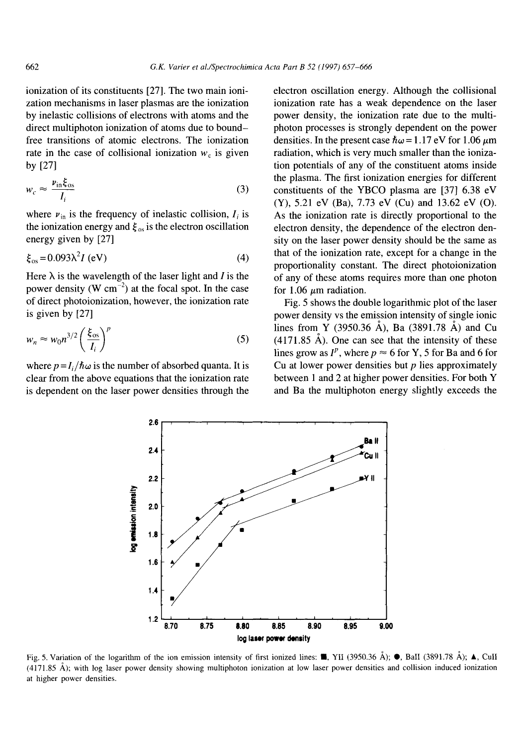ionization of its constituents [27]. The two main ionization mechanisms in laser plasmas are the ionization by inelastic collisions of electrons with atoms and the direct multiphoton ionization of atoms due to boundfree transitions of atomic electrons. The ionization rate in the case of collisional ionization  $w_c$  is given by [27]

$$
w_c \approx \frac{\nu_{\text{in}} \xi_{\text{os}}}{I_i} \tag{3}
$$

where  $v_{in}$  is the frequency of inelastic collision,  $I_i$  is the ionization energy and  $\xi_{\text{os}}$  is the electron oscillation energy given by [27]

$$
\xi_{\rm os} = 0.093\lambda^2 I \text{ (eV)}\tag{4}
$$

Here  $\lambda$  is the wavelength of the laser light and *I* is the power density (W cm<sup>-2</sup>) at the focal spot. In the case of direct photoionization, however, the ionization rate is given by [27]

$$
w_n \approx w_0 n^{3/2} \left(\frac{\xi_{\text{os}}}{I_i}\right)^p \tag{5}
$$

where  $p = I_i/\hbar\omega$  is the number of absorbed quanta. It is clear from the above equations that the ionization rate is dependent on the laser power densities through the

electron oscillation energy. Although the collisional ionization rate has a weak dependence on the laser power density, the ionization rate due to the multiphoton processes is strongly dependent on the power densities. In the present case  $\hbar\omega = 1.17$  eV for 1.06  $\mu$ m radiation, which is very much smaller than the ionization potentials of any of the constituent atoms inside the plasma. The first ionization energies for different constituents of the YBCO plasma are [37] 6.38 eV (Y), 5.21 eV (Ba), 7.73 eV (Cu) and 13.62 eV (O). As the ionization rate is directly proportional to the electron density, the dependence of the electron density on the laser power density should be the same as that of the ionization rate, except for a change in the proportionality constant. The direct photoionization of any of these atoms requires more than one photon for 1.06  $\mu$ m radiation.

Fig. 5 shows the double logarithmic plot of the laser power density vs the emission intensity of single ionic lines from Y (3950.36 Å), Ba (3891.78 Å) and Cu  $(4171.85 \text{ Å})$ . One can see that the intensity of these lines grow as  $I^p$ , where  $p \approx 6$  for Y, 5 for Ba and 6 for Cu at lower power densities but  $p$  lies approximately between 1 and 2 at higher power densities. For both Y and Ba the multiphoton energy slightly exceeds the



Fig. 5. Variation of the logarithm of the ion emission intensity of first ionized lines:  $\blacksquare$ , YII (3950.36 Å);  $\spadesuit$ , BalI (3891.78 Å);  $\spadesuit$ , CuII (4171.85 A); with log laser power density showing multiphoton ionization at low laser power densities and collision induced ionization at higher power densities.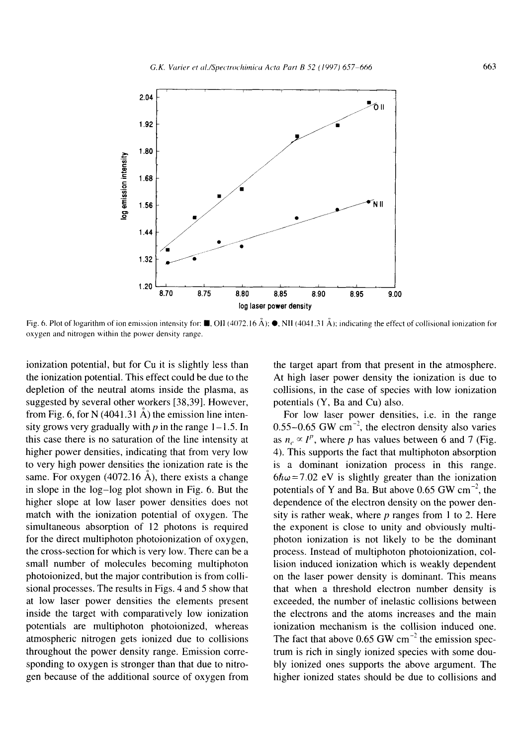

Fig. 6. Plot of logarithm of ion emission intensity for:  $\blacksquare$ , OII (4072.16 Å);  $\blacksquare$ , NII (4041.31 Å); indicating the effect of collisional ionization for oxygen and nitrogen within the power density range.

ionization potential, but for Cu it is slightly less than the ionization potential. This effect could be due to the depletion of the neutral atoms inside the plasma, as suggested by several other workers [38,39]. However, from Fig. 6, for N (4041.31  $\AA$ ) the emission line intensity grows very gradually with  $p$  in the range 1–1.5. In this case there is no saturation of the line intensity at higher power densities, indicating that from very low to very high power densities the ionization rate is the same. For oxygen (4072.16  $\AA$ ), there exists a change in slope in the log-log plot shown in Fig. 6. But the higher slope at low laser power densities does not match with the ionization potential of oxygen. The simultaneous absorption of 12 photons is required for the direct multiphoton photoionization of oxygen, the cross-section for which is very low. There can be a small number of molecules becoming multiphoton photoionized, but the major contribution is from collisional processes. The results in Figs. 4 and 5 show that at low laser power densities the elements present inside the target with comparatively low ionization potentials are multiphoton photoionized, whereas atmospheric nitrogen gets ionized due to collisions throughout the power density range. Emission corresponding to oxygen is stronger than that due to nitrogen because of the additional source of oxygen from

the target apart from that present in the atmosphere. At high laser power density the ionization is due to collisions, in the case of species with low ionization potentials (Y, Ba and Cu) also.

For low laser power densities, i.e. in the range 0.55-0.65 GW  $cm^{-2}$ , the electron density also varies as  $n_e \propto I^p$ , where p has values between 6 and 7 (Fig. 4). This supports the fact that multiphoton absorption is a dominant ionization process in this range.  $6\hbar\omega$ =7.02 eV is slightly greater than the ionization potentials of Y and Ba. But above 0.65 GW  $cm^{-2}$ , the dependence of the electron density on the power density is rather weak, where  $p$  ranges from 1 to 2. Here the exponent is close to unity and obviously multiphoton ionization is not likely to be the dominant process. Instead of multiphoton photoionization, collision induced ionization which is weakly dependent on the laser power density is dominant. This means that when a threshold electron number density is exceeded, the number of inelastic collisions between the electrons and the atoms increases and the main ionization mechanism is the collision induced one. The fact that above  $0.65$  GW cm<sup>-2</sup> the emission spectrum is rich in singly ionized species with some doubly ionized ones supports the above argument. The higher ionized states should be due to collisions and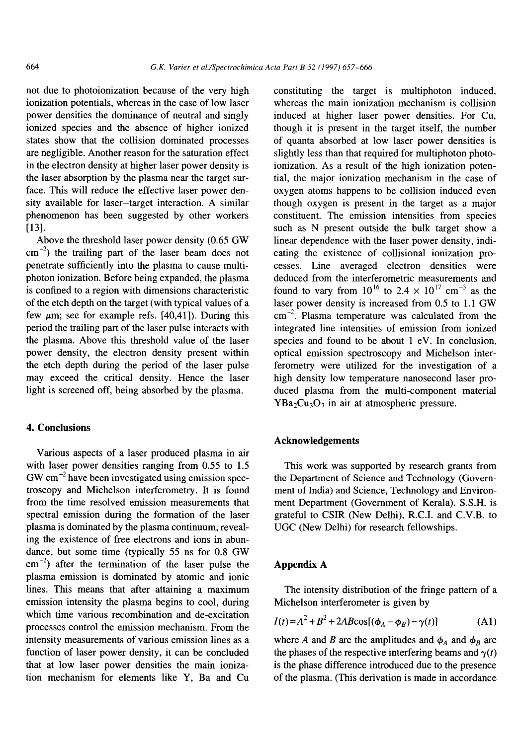not due to photoionization because of the very high ionization potentials, whereas in the case of low laser power densities the dominance of neutral and singly ionized species and the absence of higher ionized states show that the collision dominated processes are negligible. Another reason for the saturation effect in the electron density at higher laser power density is the laser absorption by the plasma near the target surface. This will reduce the effective laser power density available for laser-target interaction. A similar phenomenon has been suggested by other workers [13].

Above the threshold laser power density (0.65 GW  $\text{cm}^{-2}$ ) the trailing part of the laser beam does not penetrate sufficiently into the plasma to cause multiphoton ionization. Before being expanded, the plasma is confined to a region with dimensions characteristic of the etch depth on the target (with typical values of a few  $\mu$ m; see for example refs. [40,41]). During this period the trailing part of the laser pulse interacts with the plasma. Above this threshold value of the laser power density, the electron density present within the etch depth during the period of the laser pulse may exceed the critical density. Hence the laser light is screened off, being absorbed by the plasma.

### **4. Conclusions**

Various aspects of a laser produced plasma in air with laser power densities ranging from 0.55 to 1.5  $GW \text{ cm}^{-2}$  have been investigated using emission spectroscopy and Michelson interferometry. It is found from the time resolved emission measurements that spectral emission during the formation of the laser plasma is dominated by the plasma continuum, revealing the existence of free electrons and ions in abundance, but some time (typically 55 ns for 0.8 GW  $\text{cm}^{-2}$ ) after the termination of the laser pulse the plasma emission is dominated by atomic and ionic lines. This means that after attaining a maximum emission intensity the plasma begins to cool, during which time various recombination and de-excitation processes control the emission mechanism. From the intensity measurements of various emission lines as a function of laser power density, it can be concluded that at low laser power densities the main ionization mechanism for elements like Y, Ba and Cu

constituting the target is multiphoton induced, whereas the main ionization mechanism is collision induced at higher laser power densities. For Cu, though it is present in the target itself, the number of quanta absorbed at low laser power densities is slightly less than that required for multiphoton photoionization. As a result of the high ionization potential, the major ionization mechanism in the case of oxygen atoms happens to be collision induced even though oxygen is present in the target as a major constituent. The emission intensities from species such as N present outside the bulk target show a linear dependence with the laser power density, indicating the existence of collisional ionization processes. Line averaged electron densities were deduced from the interferometric measurements and found to vary from  $10^{16}$  to  $2.4 \times 10^{17}$  cm<sup>-3</sup> as the laser power density is increased from 0.5 to 1.1 GW  $cm^{-2}$ . Plasma temperature was calculated from the integrated line intensities of emission from ionized species and found to be about 1 eV. In conclusion, optical emission spectroscopy and Michelson interferometry were utilized for the investigation of a high density low temperature nanosecond laser produced plasma from the multi-component material  $YBa<sub>2</sub>Cu<sub>3</sub>O<sub>7</sub>$  in air at atmospheric pressure.

## **Acknowledgements**

This work was supported by research grants from the Department of Science and Technology (Government of India) and Science, Technology and Environment Department (Government of Kerala). S.S.H. is grateful to CSIR (New Delhi), R.C.I. and C.V.B. to UGC (New Delhi) for research fellowships.

## **Appendix A**

The intensity distribution of the fringe pattern of a Michelson interferometer is given by

$$
I(t) = A^{2} + B^{2} + 2AB\cos[(\phi_{A} - \phi_{B}) - \gamma(t)]
$$
 (A1)

where A and B are the amplitudes and  $\phi_A$  and  $\phi_B$  are the phases of the respective interfering beams and  $\gamma(t)$ is the phase difference introduced due to the presence of the plasma. (This derivation is made in accordance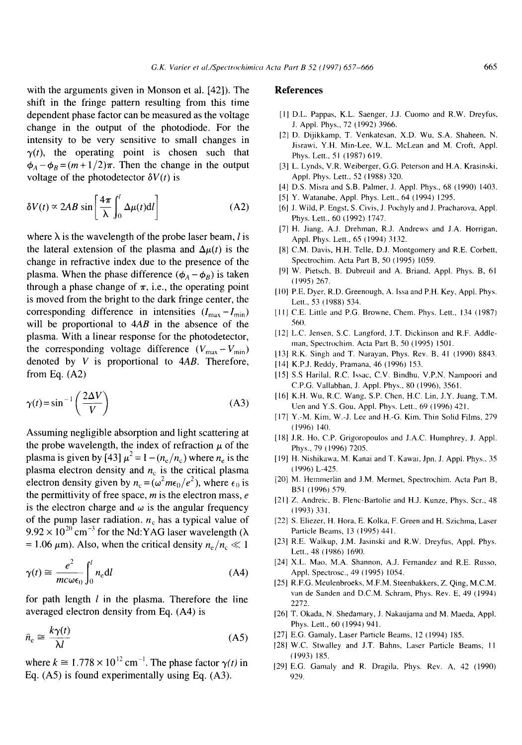with the arguments given in Monson et al. [42]). The shift in the fringe pattern resulting from this time dependent phase factor can be measured as the voltage change in the output of the photodiode. For the intensity to be very sensitive to small changes in  $\gamma(t)$ , the operating point is chosen such that  $\phi_A - \phi_B = (m + 1/2)\pi$ . Then the change in the output voltage of the photodetector  $\delta V(t)$  is

$$
\delta V(t) \propto 2AB \sin \left[\frac{4\pi}{\lambda} \int_0^t \Delta \mu(t) \mathrm{d}t\right]
$$
 (A2)

where  $\lambda$  is the wavelength of the probe laser beam, *l* is the lateral extension of the plasma and  $\Delta \mu(t)$  is the change in refractive index due to the presence of the plasma. When the phase difference  $(\phi_A - \phi_B)$  is taken through a phase change of  $\pi$ , i.e., the operating point is moved from the bright to the dark fringe center, the corresponding difference in intensities  $(I_{\text{max}} - I_{\text{min}})$ will be proportional to *4AB* in the absence of the plasma. With a linear response for the photodetector, the corresponding voltage difference  $(V_{\text{max}}-V_{\text{min}})$ denoted by V is proportional to *4AB.* Therefore, from Eq. (A2)

$$
\gamma(t) = \sin^{-1}\left(\frac{2\Delta V}{V}\right) \tag{A3}
$$

Assuming negligible absorption and light scattering at the probe wavelength, the index of refraction  $\mu$  of the plasma is given by [43]  $\mu^2 = 1 - (n_e/n_c)$  where  $n_e$  is the plasma electron density and  $n_c$  is the critical plasma electron density given by  $n_c = (\omega^2 m \epsilon_0/e^2)$ , where  $\epsilon_0$  is the permittivity of free space,  $m$  is the electron mass,  $e$ is the electron charge and  $\omega$  is the angular frequency of the pump laser radiation,  $n_c$  has a typical value of  $9.92 \times 10^{20}$  cm<sup>-3</sup> for the Nd:YAG laser wavelength ( $\lambda$ = 1.06  $\mu$ m). Also, when the critical density  $n_e/n_c \ll 1$ 

$$
\gamma(t) \cong \frac{e^2}{mc\omega\epsilon_0} \int_0^l n_{\rm e} \mathrm{d}l \tag{A4}
$$

for path length  $l$  in the plasma. Therefore the line averaged electron density from Eq. (A4) is

$$
\bar{n}_{\rm e} \cong \frac{k\gamma(t)}{\lambda l} \tag{A5}
$$

where  $k \approx 1.778 \times 10^{12}$  cm<sup>-1</sup>. The phase factor  $\gamma(t)$  in Eq. (A5) is found experimentally using Eq. (A3).

#### **References**

- [1] D.L. Pappas, K.L. Saenger, J.J. Cuomo and R.W. Dreyfus, J. Appl. Phys., 72 (1992) 3966.
- [2] D. Dijikkamp, T. Venkatesan, X.D. Wu, S.A. Shaheen, N. Jisrawi, Y.H. Min-Lee, W.L. McLean and M. Croft, Appl. Phys. Lett., 51 (1987) 619.
- [3] L. Lynds, V.R. Weiberger, G.G. Peterson and H.A. Krasinski, Appl. Phys. Lett., 52 (1988) 320.
- [4] D.S. Misra and S.B. Palmer, J. Appl. Phys., 68 (1990) 1403.
- [5] Y. Watanabe, Appl. Phys. Lett., 64 (1994) 1295.
- [6] J. Wild, P. Engst, S. Civis, J. Pochyly and J. Pracharova, Appl. Phys. Lett., 60 (1992) 1747.
- [7] H. Jiang, A.J. Drehman, R.J. Andrews and J,A. Horrigan, Appl. Phys. Lett., 65 (1994) 3132.
- [8] C.M. Davis, H.H. Telle, D.J. Montgomery and R.E. Corbett, Spectrochim. Acta Part B, 50 (1995) 1059.
- [9] W. Pietsch, B. Dubreuil and A. Briand, Appl. Phys. B, 61 (1995) 267.
- [10] P.E. Dyer, R.D. Greenough, A. Issa and P.H. Key, Appl. Phys. Lett., 53 (1988) 534.
- [11] C.E. Little and P.G. Browne, Chem. Phys. Lett., 134 (1987) 56(I.
- [12] L.C. Jensen, S.C. Langford, J.T. Dickinson and R.F. Addleman, Spectrochim. Acta Part B, 50 (1995) 1501.
- [13] R.K. Singh and T. Narayan, Phys. Rev. B, 41 (1990) 8843.
- [14] K.P.J. Reddy, Pramana, 46 (1996) 153.
- [15] S.S Harilal, R.C. lssac, C.V. Bindhu, V.P.N. Nampoori and C.P.G. Vallabhan, J. Appl. Phys., 80 (1996), 3561.
- [16] K.H. Wu, R.C. Wang, S.P. Chen, H.C. Lin, J.Y. Juang, T.M. Uen and Y.S. Gou, Appl. Phys. Lett., 69 (1996) 421.
- [17] Y.-M. Kim, W.-J. Lee and H.-G. Kim, Thin Solid Films, 279  $(1996)$  140.
- [18] J.R. Ho, C.P. Grigoropoulos and J.A.C. Humphrey, J. Appl. Phys., 79 (1996) 7205.
- [19] H. Nishikawa, M. Kanai and T. Kawai, Jpn. J. Appl. Phys., 35 (1996) L-425.
- [20] M. Hemmerlin and J.M. Mermet, Spectrochim. Acta Part B, B51 (1996) 579.
- [21] Z. Andreic, B. Flenc-Bartolie and H.J. Kunze, Phys. Scr., 48 (1993) 331.
- [22] S. Eliezer, H. Hora, E. Kolka, F. Green and H. Szichma, Laser Particle Beams, 13 (1995) 441.
- [23] R.E. Walkup, J.M. Jasinski and R.W. Dreyfus, Appl. Phys. Lett., 48 (1986) 1690.
- [24] X.L Mao, M.A. Shannon, A.J. Fernandez and R.E. Russo, Appl. Spectrosc., 49 (1995) 1054.
- [251 R.F.G. Meulenbroeks, M.F.M. Steenbakkers, Z. Qing, M.C.M. van de Sanden and D.C.M. Schram, Phys. Rev. E, 49 (1994) 2272.
- [261 T. Okada, N. Shedamary, J. Nakaujama and M. Maeda, Appl. Phys. Lett., 60 (1994) 941.
- [27] E.G. Gamaly, Laser Particle Beams, 12 (1994) 185.
- 1281 W.C. Stwalley and J.T. Bahns, Laser Particle Beams, 11 (1993) 185.
- (29) E.G. Gamaly and R. Dragila, Phys. Rev. A, 42 (1990) 929.